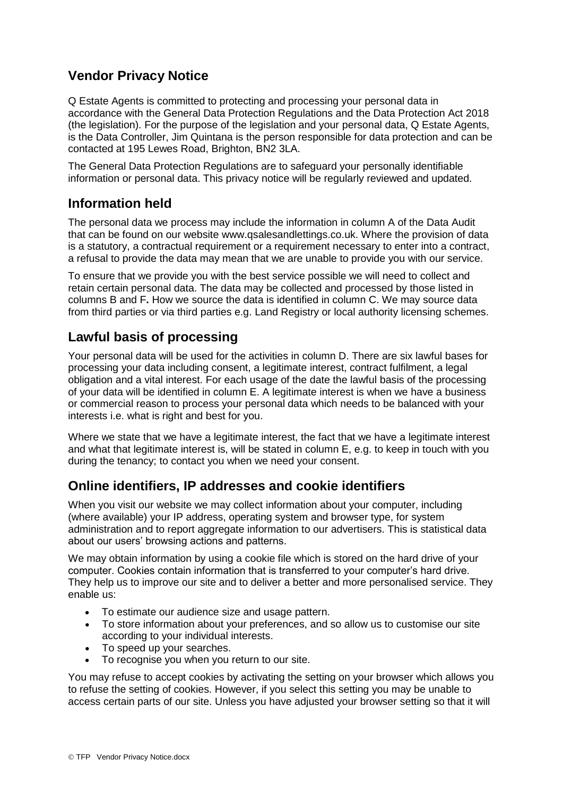# **Vendor Privacy Notice**

Q Estate Agents is committed to protecting and processing your personal data in accordance with the General Data Protection Regulations and the Data Protection Act 2018 (the legislation). For the purpose of the legislation and your personal data, Q Estate Agents, is the Data Controller, Jim Quintana is the person responsible for data protection and can be contacted at 195 Lewes Road, Brighton, BN2 3LA.

The General Data Protection Regulations are to safeguard your personally identifiable information or personal data. This privacy notice will be regularly reviewed and updated.

## **Information held**

The personal data we process may include the information in column A of the Data Audit that can be found on our website www.qsalesandlettings.co.uk. Where the provision of data is a statutory, a contractual requirement or a requirement necessary to enter into a contract, a refusal to provide the data may mean that we are unable to provide you with our service.

To ensure that we provide you with the best service possible we will need to collect and retain certain personal data. The data may be collected and processed by those listed in columns B and F**.** How we source the data is identified in column C. We may source data from third parties or via third parties e.g. Land Registry or local authority licensing schemes.

# **Lawful basis of processing**

Your personal data will be used for the activities in column D. There are six lawful bases for processing your data including consent, a legitimate interest, contract fulfilment, a legal obligation and a vital interest. For each usage of the date the lawful basis of the processing of your data will be identified in column E. A legitimate interest is when we have a business or commercial reason to process your personal data which needs to be balanced with your interests i.e. what is right and best for you.

Where we state that we have a legitimate interest, the fact that we have a legitimate interest and what that legitimate interest is, will be stated in column E, e.g. to keep in touch with you during the tenancy; to contact you when we need your consent.

# **Online identifiers, IP addresses and cookie identifiers**

When you visit our website we may collect information about your computer, including (where available) your IP address, operating system and browser type, for system administration and to report aggregate information to our advertisers. This is statistical data about our users' browsing actions and patterns.

We may obtain information by using a cookie file which is stored on the hard drive of your computer. Cookies contain information that is transferred to your computer's hard drive. They help us to improve our site and to deliver a better and more personalised service. They enable us:

- To estimate our audience size and usage pattern.
- To store information about your preferences, and so allow us to customise our site according to your individual interests.
- To speed up your searches.
- To recognise you when you return to our site.

You may refuse to accept cookies by activating the setting on your browser which allows you to refuse the setting of cookies. However, if you select this setting you may be unable to access certain parts of our site. Unless you have adjusted your browser setting so that it will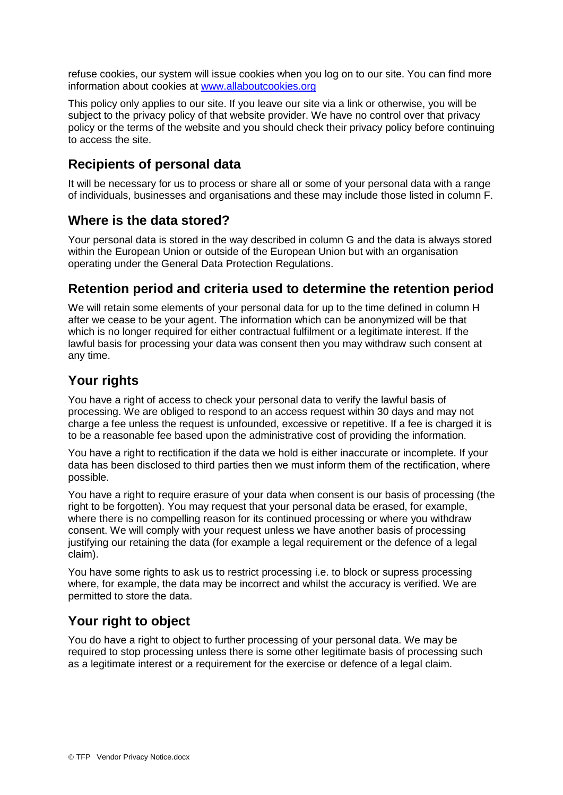refuse cookies, our system will issue cookies when you log on to our site. You can find more information about cookies at [www.allaboutcookies.org](http://www.allaboutcookies.org/)

This policy only applies to our site. If you leave our site via a link or otherwise, you will be subject to the privacy policy of that website provider. We have no control over that privacy policy or the terms of the website and you should check their privacy policy before continuing to access the site.

### **Recipients of personal data**

It will be necessary for us to process or share all or some of your personal data with a range of individuals, businesses and organisations and these may include those listed in column F.

#### **Where is the data stored?**

Your personal data is stored in the way described in column G and the data is always stored within the European Union or outside of the European Union but with an organisation operating under the General Data Protection Regulations.

#### **Retention period and criteria used to determine the retention period**

We will retain some elements of your personal data for up to the time defined in column H after we cease to be your agent. The information which can be anonymized will be that which is no longer required for either contractual fulfilment or a legitimate interest. If the lawful basis for processing your data was consent then you may withdraw such consent at any time.

### **Your rights**

You have a right of access to check your personal data to verify the lawful basis of processing. We are obliged to respond to an access request within 30 days and may not charge a fee unless the request is unfounded, excessive or repetitive. If a fee is charged it is to be a reasonable fee based upon the administrative cost of providing the information.

You have a right to rectification if the data we hold is either inaccurate or incomplete. If your data has been disclosed to third parties then we must inform them of the rectification, where possible.

You have a right to require erasure of your data when consent is our basis of processing (the right to be forgotten). You may request that your personal data be erased, for example, where there is no compelling reason for its continued processing or where you withdraw consent. We will comply with your request unless we have another basis of processing justifying our retaining the data (for example a legal requirement or the defence of a legal claim).

You have some rights to ask us to restrict processing i.e. to block or supress processing where, for example, the data may be incorrect and whilst the accuracy is verified. We are permitted to store the data.

# **Your right to object**

You do have a right to object to further processing of your personal data. We may be required to stop processing unless there is some other legitimate basis of processing such as a legitimate interest or a requirement for the exercise or defence of a legal claim.